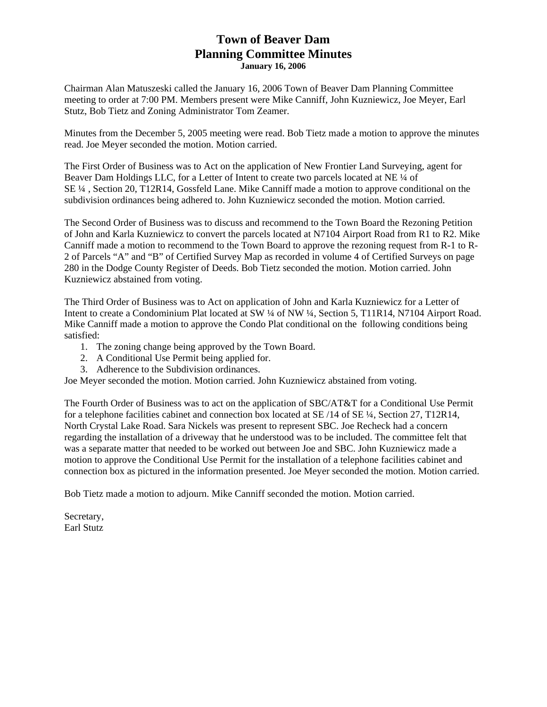## **Town of Beaver Dam Planning Committee Minutes January 16, 2006**

Chairman Alan Matuszeski called the January 16, 2006 Town of Beaver Dam Planning Committee meeting to order at 7:00 PM. Members present were Mike Canniff, John Kuzniewicz, Joe Meyer, Earl Stutz, Bob Tietz and Zoning Administrator Tom Zeamer.

Minutes from the December 5, 2005 meeting were read. Bob Tietz made a motion to approve the minutes read. Joe Meyer seconded the motion. Motion carried.

The First Order of Business was to Act on the application of New Frontier Land Surveying, agent for Beaver Dam Holdings LLC, for a Letter of Intent to create two parcels located at NE ¼ of SE ¼ , Section 20, T12R14, Gossfeld Lane. Mike Canniff made a motion to approve conditional on the subdivision ordinances being adhered to. John Kuzniewicz seconded the motion. Motion carried.

The Second Order of Business was to discuss and recommend to the Town Board the Rezoning Petition of John and Karla Kuzniewicz to convert the parcels located at N7104 Airport Road from R1 to R2. Mike Canniff made a motion to recommend to the Town Board to approve the rezoning request from R-1 to R-2 of Parcels "A" and "B" of Certified Survey Map as recorded in volume 4 of Certified Surveys on page 280 in the Dodge County Register of Deeds. Bob Tietz seconded the motion. Motion carried. John Kuzniewicz abstained from voting.

The Third Order of Business was to Act on application of John and Karla Kuzniewicz for a Letter of Intent to create a Condominium Plat located at SW ¼ of NW ¼, Section 5, T11R14, N7104 Airport Road. Mike Canniff made a motion to approve the Condo Plat conditional on the following conditions being satisfied:

- 1. The zoning change being approved by the Town Board.
- 2. A Conditional Use Permit being applied for.
- 3. Adherence to the Subdivision ordinances.

Joe Meyer seconded the motion. Motion carried. John Kuzniewicz abstained from voting.

The Fourth Order of Business was to act on the application of SBC/AT&T for a Conditional Use Permit for a telephone facilities cabinet and connection box located at SE /14 of SE ¼, Section 27, T12R14, North Crystal Lake Road. Sara Nickels was present to represent SBC. Joe Recheck had a concern regarding the installation of a driveway that he understood was to be included. The committee felt that was a separate matter that needed to be worked out between Joe and SBC. John Kuzniewicz made a motion to approve the Conditional Use Permit for the installation of a telephone facilities cabinet and connection box as pictured in the information presented. Joe Meyer seconded the motion. Motion carried.

Bob Tietz made a motion to adjourn. Mike Canniff seconded the motion. Motion carried.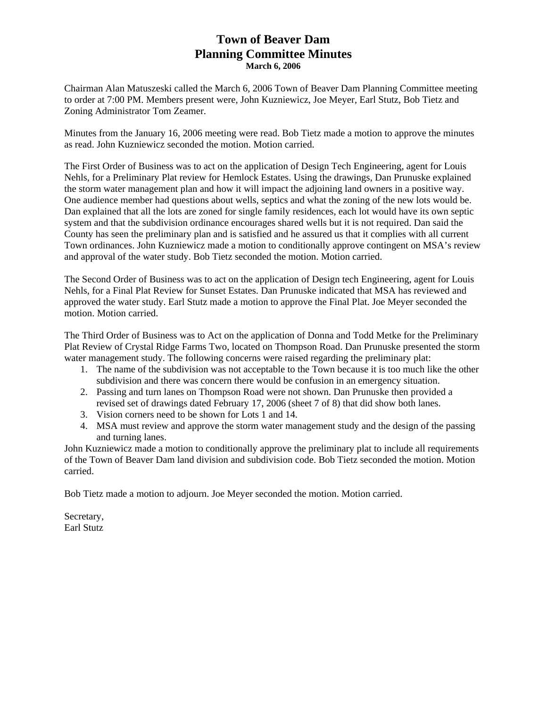## **Town of Beaver Dam Planning Committee Minutes March 6, 2006**

Chairman Alan Matuszeski called the March 6, 2006 Town of Beaver Dam Planning Committee meeting to order at 7:00 PM. Members present were, John Kuzniewicz, Joe Meyer, Earl Stutz, Bob Tietz and Zoning Administrator Tom Zeamer.

Minutes from the January 16, 2006 meeting were read. Bob Tietz made a motion to approve the minutes as read. John Kuzniewicz seconded the motion. Motion carried.

The First Order of Business was to act on the application of Design Tech Engineering, agent for Louis Nehls, for a Preliminary Plat review for Hemlock Estates. Using the drawings, Dan Prunuske explained the storm water management plan and how it will impact the adjoining land owners in a positive way. One audience member had questions about wells, septics and what the zoning of the new lots would be. Dan explained that all the lots are zoned for single family residences, each lot would have its own septic system and that the subdivision ordinance encourages shared wells but it is not required. Dan said the County has seen the preliminary plan and is satisfied and he assured us that it complies with all current Town ordinances. John Kuzniewicz made a motion to conditionally approve contingent on MSA's review and approval of the water study. Bob Tietz seconded the motion. Motion carried.

The Second Order of Business was to act on the application of Design tech Engineering, agent for Louis Nehls, for a Final Plat Review for Sunset Estates. Dan Prunuske indicated that MSA has reviewed and approved the water study. Earl Stutz made a motion to approve the Final Plat. Joe Meyer seconded the motion. Motion carried.

The Third Order of Business was to Act on the application of Donna and Todd Metke for the Preliminary Plat Review of Crystal Ridge Farms Two, located on Thompson Road. Dan Prunuske presented the storm water management study. The following concerns were raised regarding the preliminary plat:

- 1. The name of the subdivision was not acceptable to the Town because it is too much like the other subdivision and there was concern there would be confusion in an emergency situation.
- 2. Passing and turn lanes on Thompson Road were not shown. Dan Prunuske then provided a revised set of drawings dated February 17, 2006 (sheet 7 of 8) that did show both lanes.
- 3. Vision corners need to be shown for Lots 1 and 14.
- 4. MSA must review and approve the storm water management study and the design of the passing and turning lanes.

John Kuzniewicz made a motion to conditionally approve the preliminary plat to include all requirements of the Town of Beaver Dam land division and subdivision code. Bob Tietz seconded the motion. Motion carried.

Bob Tietz made a motion to adjourn. Joe Meyer seconded the motion. Motion carried.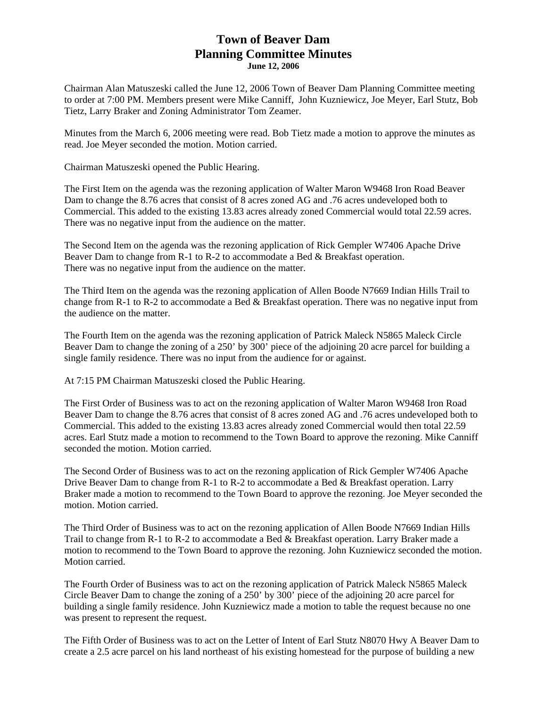#### **Town of Beaver Dam Planning Committee Minutes June 12, 2006**

Chairman Alan Matuszeski called the June 12, 2006 Town of Beaver Dam Planning Committee meeting to order at 7:00 PM. Members present were Mike Canniff, John Kuzniewicz, Joe Meyer, Earl Stutz, Bob Tietz, Larry Braker and Zoning Administrator Tom Zeamer.

Minutes from the March 6, 2006 meeting were read. Bob Tietz made a motion to approve the minutes as read. Joe Meyer seconded the motion. Motion carried.

Chairman Matuszeski opened the Public Hearing.

The First Item on the agenda was the rezoning application of Walter Maron W9468 Iron Road Beaver Dam to change the 8.76 acres that consist of 8 acres zoned AG and .76 acres undeveloped both to Commercial. This added to the existing 13.83 acres already zoned Commercial would total 22.59 acres. There was no negative input from the audience on the matter.

The Second Item on the agenda was the rezoning application of Rick Gempler W7406 Apache Drive Beaver Dam to change from R-1 to R-2 to accommodate a Bed & Breakfast operation. There was no negative input from the audience on the matter.

The Third Item on the agenda was the rezoning application of Allen Boode N7669 Indian Hills Trail to change from R-1 to R-2 to accommodate a Bed & Breakfast operation. There was no negative input from the audience on the matter.

The Fourth Item on the agenda was the rezoning application of Patrick Maleck N5865 Maleck Circle Beaver Dam to change the zoning of a 250' by 300' piece of the adjoining 20 acre parcel for building a single family residence. There was no input from the audience for or against.

At 7:15 PM Chairman Matuszeski closed the Public Hearing.

The First Order of Business was to act on the rezoning application of Walter Maron W9468 Iron Road Beaver Dam to change the 8.76 acres that consist of 8 acres zoned AG and .76 acres undeveloped both to Commercial. This added to the existing 13.83 acres already zoned Commercial would then total 22.59 acres. Earl Stutz made a motion to recommend to the Town Board to approve the rezoning. Mike Canniff seconded the motion. Motion carried.

The Second Order of Business was to act on the rezoning application of Rick Gempler W7406 Apache Drive Beaver Dam to change from R-1 to R-2 to accommodate a Bed & Breakfast operation. Larry Braker made a motion to recommend to the Town Board to approve the rezoning. Joe Meyer seconded the motion. Motion carried.

The Third Order of Business was to act on the rezoning application of Allen Boode N7669 Indian Hills Trail to change from R-1 to R-2 to accommodate a Bed & Breakfast operation. Larry Braker made a motion to recommend to the Town Board to approve the rezoning. John Kuzniewicz seconded the motion. Motion carried.

The Fourth Order of Business was to act on the rezoning application of Patrick Maleck N5865 Maleck Circle Beaver Dam to change the zoning of a 250' by 300' piece of the adjoining 20 acre parcel for building a single family residence. John Kuzniewicz made a motion to table the request because no one was present to represent the request.

The Fifth Order of Business was to act on the Letter of Intent of Earl Stutz N8070 Hwy A Beaver Dam to create a 2.5 acre parcel on his land northeast of his existing homestead for the purpose of building a new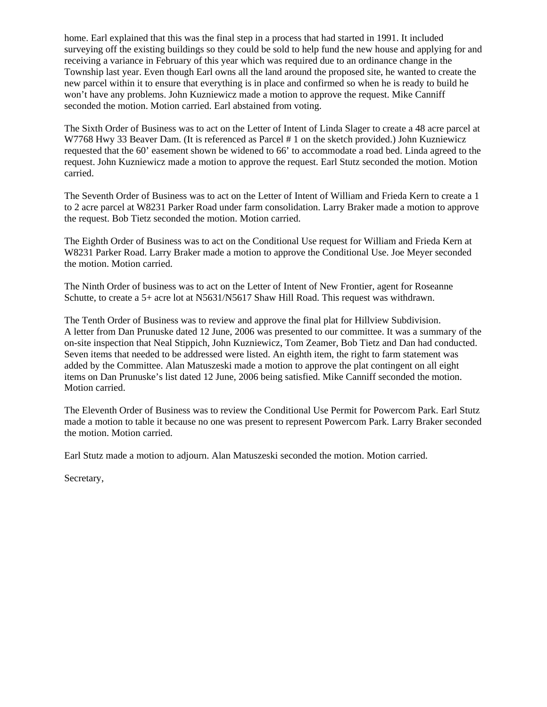home. Earl explained that this was the final step in a process that had started in 1991. It included surveying off the existing buildings so they could be sold to help fund the new house and applying for and receiving a variance in February of this year which was required due to an ordinance change in the Township last year. Even though Earl owns all the land around the proposed site, he wanted to create the new parcel within it to ensure that everything is in place and confirmed so when he is ready to build he won't have any problems. John Kuzniewicz made a motion to approve the request. Mike Canniff seconded the motion. Motion carried. Earl abstained from voting.

The Sixth Order of Business was to act on the Letter of Intent of Linda Slager to create a 48 acre parcel at W7768 Hwy 33 Beaver Dam. (It is referenced as Parcel # 1 on the sketch provided.) John Kuzniewicz requested that the 60' easement shown be widened to 66' to accommodate a road bed. Linda agreed to the request. John Kuzniewicz made a motion to approve the request. Earl Stutz seconded the motion. Motion carried.

The Seventh Order of Business was to act on the Letter of Intent of William and Frieda Kern to create a 1 to 2 acre parcel at W8231 Parker Road under farm consolidation. Larry Braker made a motion to approve the request. Bob Tietz seconded the motion. Motion carried.

The Eighth Order of Business was to act on the Conditional Use request for William and Frieda Kern at W8231 Parker Road. Larry Braker made a motion to approve the Conditional Use. Joe Meyer seconded the motion. Motion carried.

The Ninth Order of business was to act on the Letter of Intent of New Frontier, agent for Roseanne Schutte, to create a 5+ acre lot at N5631/N5617 Shaw Hill Road. This request was withdrawn.

The Tenth Order of Business was to review and approve the final plat for Hillview Subdivision. A letter from Dan Prunuske dated 12 June, 2006 was presented to our committee. It was a summary of the on-site inspection that Neal Stippich, John Kuzniewicz, Tom Zeamer, Bob Tietz and Dan had conducted. Seven items that needed to be addressed were listed. An eighth item, the right to farm statement was added by the Committee. Alan Matuszeski made a motion to approve the plat contingent on all eight items on Dan Prunuske's list dated 12 June, 2006 being satisfied. Mike Canniff seconded the motion. Motion carried.

The Eleventh Order of Business was to review the Conditional Use Permit for Powercom Park. Earl Stutz made a motion to table it because no one was present to represent Powercom Park. Larry Braker seconded the motion. Motion carried.

Earl Stutz made a motion to adjourn. Alan Matuszeski seconded the motion. Motion carried.

Secretary,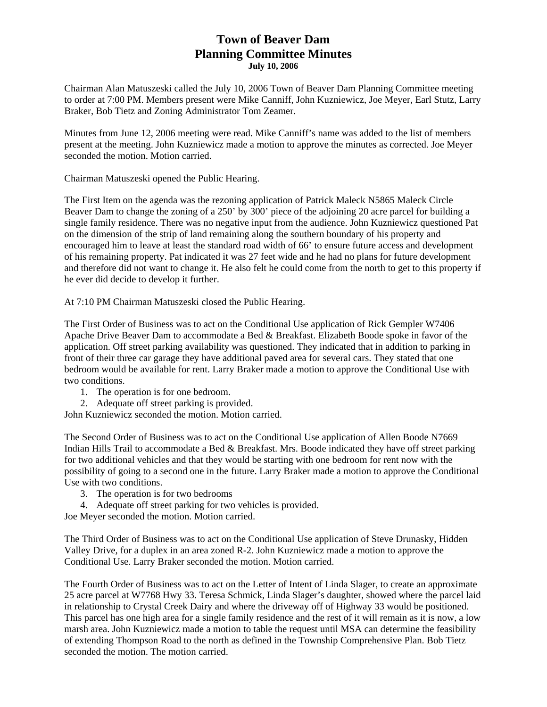## **Town of Beaver Dam Planning Committee Minutes July 10, 2006**

Chairman Alan Matuszeski called the July 10, 2006 Town of Beaver Dam Planning Committee meeting to order at 7:00 PM. Members present were Mike Canniff, John Kuzniewicz, Joe Meyer, Earl Stutz, Larry Braker, Bob Tietz and Zoning Administrator Tom Zeamer.

Minutes from June 12, 2006 meeting were read. Mike Canniff's name was added to the list of members present at the meeting. John Kuzniewicz made a motion to approve the minutes as corrected. Joe Meyer seconded the motion. Motion carried.

Chairman Matuszeski opened the Public Hearing.

The First Item on the agenda was the rezoning application of Patrick Maleck N5865 Maleck Circle Beaver Dam to change the zoning of a 250' by 300' piece of the adjoining 20 acre parcel for building a single family residence. There was no negative input from the audience. John Kuzniewicz questioned Pat on the dimension of the strip of land remaining along the southern boundary of his property and encouraged him to leave at least the standard road width of 66' to ensure future access and development of his remaining property. Pat indicated it was 27 feet wide and he had no plans for future development and therefore did not want to change it. He also felt he could come from the north to get to this property if he ever did decide to develop it further.

At 7:10 PM Chairman Matuszeski closed the Public Hearing.

The First Order of Business was to act on the Conditional Use application of Rick Gempler W7406 Apache Drive Beaver Dam to accommodate a Bed & Breakfast. Elizabeth Boode spoke in favor of the application. Off street parking availability was questioned. They indicated that in addition to parking in front of their three car garage they have additional paved area for several cars. They stated that one bedroom would be available for rent. Larry Braker made a motion to approve the Conditional Use with two conditions.

- 1. The operation is for one bedroom.
- 2. Adequate off street parking is provided.

John Kuzniewicz seconded the motion. Motion carried.

The Second Order of Business was to act on the Conditional Use application of Allen Boode N7669 Indian Hills Trail to accommodate a Bed & Breakfast. Mrs. Boode indicated they have off street parking for two additional vehicles and that they would be starting with one bedroom for rent now with the possibility of going to a second one in the future. Larry Braker made a motion to approve the Conditional Use with two conditions.

- 3. The operation is for two bedrooms
- 4. Adequate off street parking for two vehicles is provided.

Joe Meyer seconded the motion. Motion carried.

The Third Order of Business was to act on the Conditional Use application of Steve Drunasky, Hidden Valley Drive, for a duplex in an area zoned R-2. John Kuzniewicz made a motion to approve the Conditional Use. Larry Braker seconded the motion. Motion carried.

The Fourth Order of Business was to act on the Letter of Intent of Linda Slager, to create an approximate 25 acre parcel at W7768 Hwy 33. Teresa Schmick, Linda Slager's daughter, showed where the parcel laid in relationship to Crystal Creek Dairy and where the driveway off of Highway 33 would be positioned. This parcel has one high area for a single family residence and the rest of it will remain as it is now, a low marsh area. John Kuzniewicz made a motion to table the request until MSA can determine the feasibility of extending Thompson Road to the north as defined in the Township Comprehensive Plan. Bob Tietz seconded the motion. The motion carried.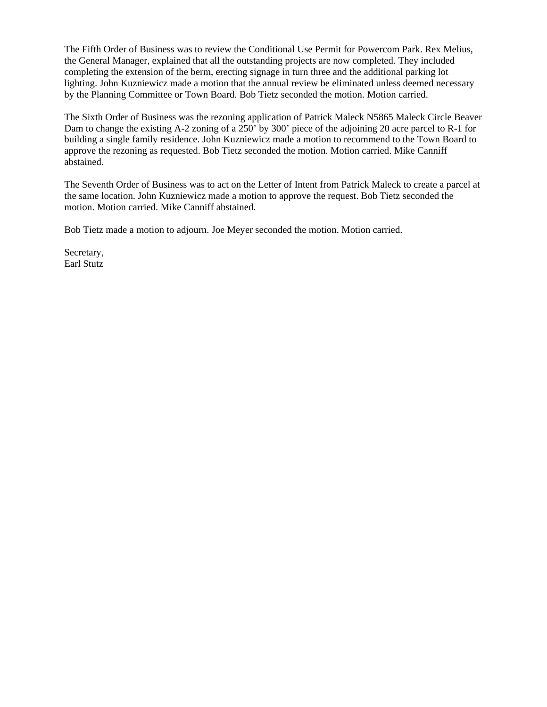The Fifth Order of Business was to review the Conditional Use Permit for Powercom Park. Rex Melius, the General Manager, explained that all the outstanding projects are now completed. They included completing the extension of the berm, erecting signage in turn three and the additional parking lot lighting. John Kuzniewicz made a motion that the annual review be eliminated unless deemed necessary by the Planning Committee or Town Board. Bob Tietz seconded the motion. Motion carried.

The Sixth Order of Business was the rezoning application of Patrick Maleck N5865 Maleck Circle Beaver Dam to change the existing A-2 zoning of a 250' by 300' piece of the adjoining 20 acre parcel to R-1 for building a single family residence. John Kuzniewicz made a motion to recommend to the Town Board to approve the rezoning as requested. Bob Tietz seconded the motion. Motion carried. Mike Canniff abstained.

The Seventh Order of Business was to act on the Letter of Intent from Patrick Maleck to create a parcel at the same location. John Kuzniewicz made a motion to approve the request. Bob Tietz seconded the motion. Motion carried. Mike Canniff abstained.

Bob Tietz made a motion to adjourn. Joe Meyer seconded the motion. Motion carried.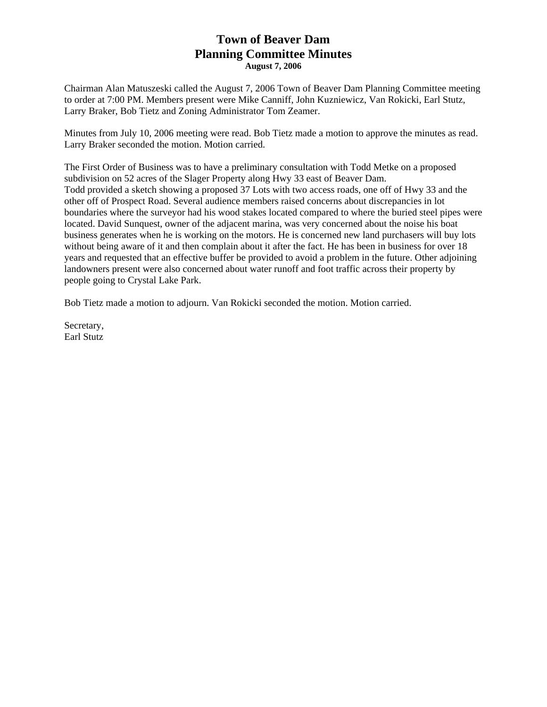## **Town of Beaver Dam Planning Committee Minutes August 7, 2006**

Chairman Alan Matuszeski called the August 7, 2006 Town of Beaver Dam Planning Committee meeting to order at 7:00 PM. Members present were Mike Canniff, John Kuzniewicz, Van Rokicki, Earl Stutz, Larry Braker, Bob Tietz and Zoning Administrator Tom Zeamer.

Minutes from July 10, 2006 meeting were read. Bob Tietz made a motion to approve the minutes as read. Larry Braker seconded the motion. Motion carried.

The First Order of Business was to have a preliminary consultation with Todd Metke on a proposed subdivision on 52 acres of the Slager Property along Hwy 33 east of Beaver Dam. Todd provided a sketch showing a proposed 37 Lots with two access roads, one off of Hwy 33 and the other off of Prospect Road. Several audience members raised concerns about discrepancies in lot boundaries where the surveyor had his wood stakes located compared to where the buried steel pipes were located. David Sunquest, owner of the adjacent marina, was very concerned about the noise his boat business generates when he is working on the motors. He is concerned new land purchasers will buy lots without being aware of it and then complain about it after the fact. He has been in business for over 18 years and requested that an effective buffer be provided to avoid a problem in the future. Other adjoining landowners present were also concerned about water runoff and foot traffic across their property by people going to Crystal Lake Park.

Bob Tietz made a motion to adjourn. Van Rokicki seconded the motion. Motion carried.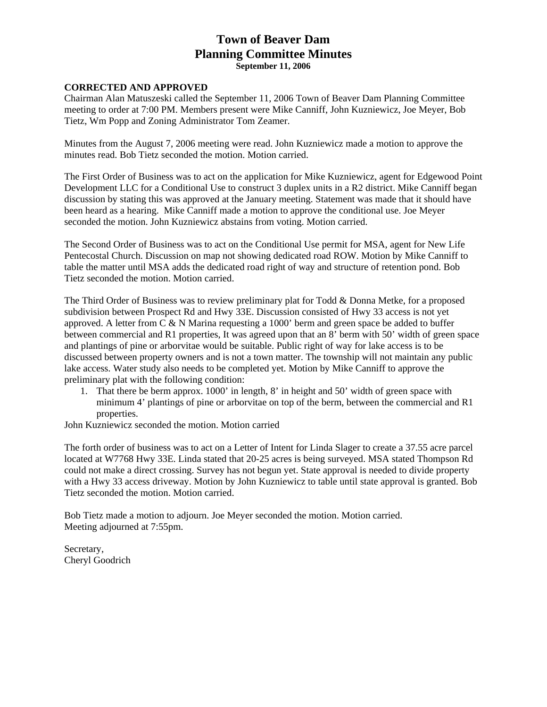## **Town of Beaver Dam Planning Committee Minutes September 11, 2006**

#### **CORRECTED AND APPROVED**

Chairman Alan Matuszeski called the September 11, 2006 Town of Beaver Dam Planning Committee meeting to order at 7:00 PM. Members present were Mike Canniff, John Kuzniewicz, Joe Meyer, Bob Tietz, Wm Popp and Zoning Administrator Tom Zeamer.

Minutes from the August 7, 2006 meeting were read. John Kuzniewicz made a motion to approve the minutes read. Bob Tietz seconded the motion. Motion carried.

The First Order of Business was to act on the application for Mike Kuzniewicz, agent for Edgewood Point Development LLC for a Conditional Use to construct 3 duplex units in a R2 district. Mike Canniff began discussion by stating this was approved at the January meeting. Statement was made that it should have been heard as a hearing. Mike Canniff made a motion to approve the conditional use. Joe Meyer seconded the motion. John Kuzniewicz abstains from voting. Motion carried.

The Second Order of Business was to act on the Conditional Use permit for MSA, agent for New Life Pentecostal Church. Discussion on map not showing dedicated road ROW. Motion by Mike Canniff to table the matter until MSA adds the dedicated road right of way and structure of retention pond. Bob Tietz seconded the motion. Motion carried.

The Third Order of Business was to review preliminary plat for Todd & Donna Metke, for a proposed subdivision between Prospect Rd and Hwy 33E. Discussion consisted of Hwy 33 access is not yet approved. A letter from C & N Marina requesting a 1000' berm and green space be added to buffer between commercial and R1 properties, It was agreed upon that an 8' berm with 50' width of green space and plantings of pine or arborvitae would be suitable. Public right of way for lake access is to be discussed between property owners and is not a town matter. The township will not maintain any public lake access. Water study also needs to be completed yet. Motion by Mike Canniff to approve the preliminary plat with the following condition:

1. That there be berm approx. 1000' in length, 8' in height and 50' width of green space with minimum 4' plantings of pine or arborvitae on top of the berm, between the commercial and R1 properties.

John Kuzniewicz seconded the motion. Motion carried

The forth order of business was to act on a Letter of Intent for Linda Slager to create a 37.55 acre parcel located at W7768 Hwy 33E. Linda stated that 20-25 acres is being surveyed. MSA stated Thompson Rd could not make a direct crossing. Survey has not begun yet. State approval is needed to divide property with a Hwy 33 access driveway. Motion by John Kuzniewicz to table until state approval is granted. Bob Tietz seconded the motion. Motion carried.

Bob Tietz made a motion to adjourn. Joe Meyer seconded the motion. Motion carried. Meeting adjourned at 7:55pm.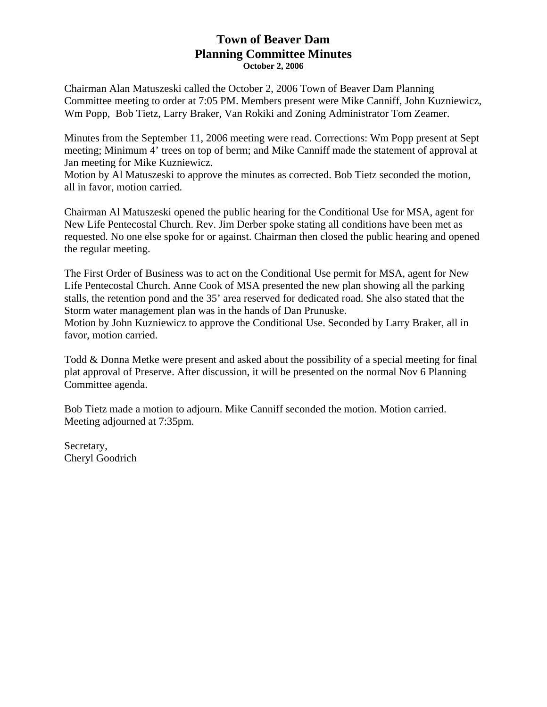## **Town of Beaver Dam Planning Committee Minutes October 2, 2006**

Chairman Alan Matuszeski called the October 2, 2006 Town of Beaver Dam Planning Committee meeting to order at 7:05 PM. Members present were Mike Canniff, John Kuzniewicz, Wm Popp, Bob Tietz, Larry Braker, Van Rokiki and Zoning Administrator Tom Zeamer.

Minutes from the September 11, 2006 meeting were read. Corrections: Wm Popp present at Sept meeting; Minimum 4' trees on top of berm; and Mike Canniff made the statement of approval at Jan meeting for Mike Kuzniewicz.

Motion by Al Matuszeski to approve the minutes as corrected. Bob Tietz seconded the motion, all in favor, motion carried.

Chairman Al Matuszeski opened the public hearing for the Conditional Use for MSA, agent for New Life Pentecostal Church. Rev. Jim Derber spoke stating all conditions have been met as requested. No one else spoke for or against. Chairman then closed the public hearing and opened the regular meeting.

The First Order of Business was to act on the Conditional Use permit for MSA, agent for New Life Pentecostal Church. Anne Cook of MSA presented the new plan showing all the parking stalls, the retention pond and the 35' area reserved for dedicated road. She also stated that the Storm water management plan was in the hands of Dan Prunuske. Motion by John Kuzniewicz to approve the Conditional Use. Seconded by Larry Braker, all in favor, motion carried.

Todd & Donna Metke were present and asked about the possibility of a special meeting for final plat approval of Preserve. After discussion, it will be presented on the normal Nov 6 Planning Committee agenda.

Bob Tietz made a motion to adjourn. Mike Canniff seconded the motion. Motion carried. Meeting adjourned at 7:35pm.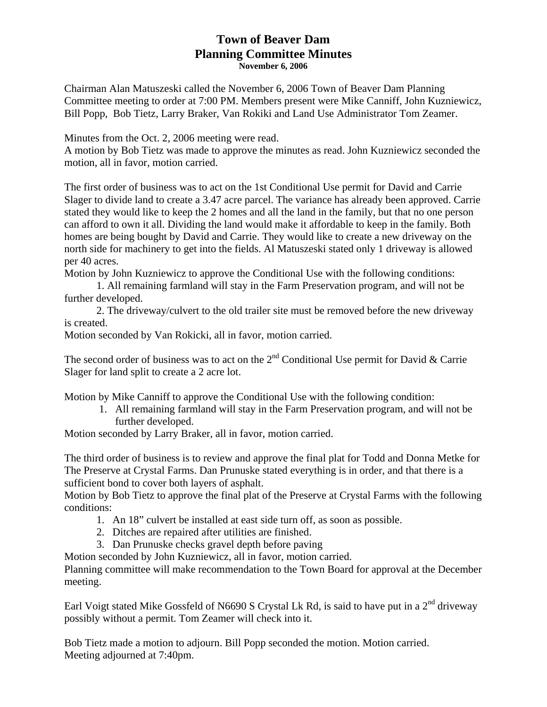## **Town of Beaver Dam Planning Committee Minutes November 6, 2006**

Chairman Alan Matuszeski called the November 6, 2006 Town of Beaver Dam Planning Committee meeting to order at 7:00 PM. Members present were Mike Canniff, John Kuzniewicz, Bill Popp, Bob Tietz, Larry Braker, Van Rokiki and Land Use Administrator Tom Zeamer.

Minutes from the Oct. 2, 2006 meeting were read.

A motion by Bob Tietz was made to approve the minutes as read. John Kuzniewicz seconded the motion, all in favor, motion carried.

The first order of business was to act on the 1st Conditional Use permit for David and Carrie Slager to divide land to create a 3.47 acre parcel. The variance has already been approved. Carrie stated they would like to keep the 2 homes and all the land in the family, but that no one person can afford to own it all. Dividing the land would make it affordable to keep in the family. Both homes are being bought by David and Carrie. They would like to create a new driveway on the north side for machinery to get into the fields. Al Matuszeski stated only 1 driveway is allowed per 40 acres.

Motion by John Kuzniewicz to approve the Conditional Use with the following conditions:

1. All remaining farmland will stay in the Farm Preservation program, and will not be further developed.

 2. The driveway/culvert to the old trailer site must be removed before the new driveway is created.

Motion seconded by Van Rokicki, all in favor, motion carried.

The second order of business was to act on the  $2<sup>nd</sup>$  Conditional Use permit for David & Carrie Slager for land split to create a 2 acre lot.

Motion by Mike Canniff to approve the Conditional Use with the following condition:

1. All remaining farmland will stay in the Farm Preservation program, and will not be further developed.

Motion seconded by Larry Braker, all in favor, motion carried.

The third order of business is to review and approve the final plat for Todd and Donna Metke for The Preserve at Crystal Farms. Dan Prunuske stated everything is in order, and that there is a sufficient bond to cover both layers of asphalt.

Motion by Bob Tietz to approve the final plat of the Preserve at Crystal Farms with the following conditions:

- 1. An 18" culvert be installed at east side turn off, as soon as possible.
- 2. Ditches are repaired after utilities are finished.
- 3. Dan Prunuske checks gravel depth before paving

Motion seconded by John Kuzniewicz, all in favor, motion carried.

Planning committee will make recommendation to the Town Board for approval at the December meeting.

Earl Voigt stated Mike Gossfeld of N6690 S Crystal Lk Rd, is said to have put in a  $2<sup>nd</sup>$  driveway possibly without a permit. Tom Zeamer will check into it.

Bob Tietz made a motion to adjourn. Bill Popp seconded the motion. Motion carried. Meeting adjourned at 7:40pm.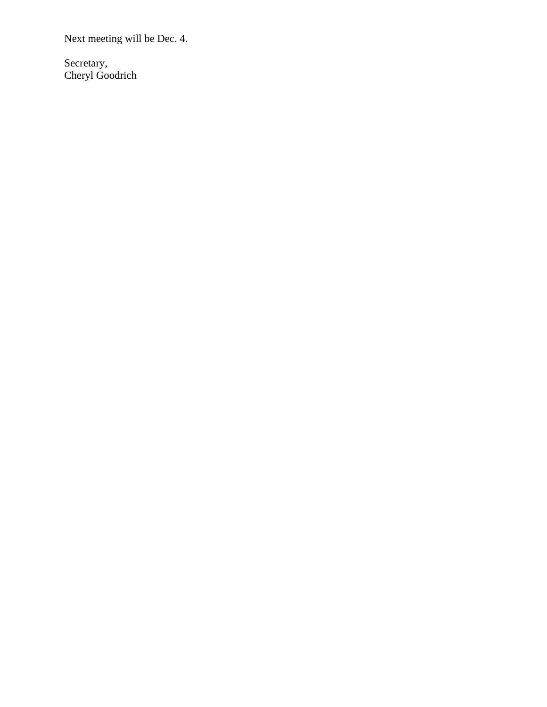Next meeting will be Dec. 4.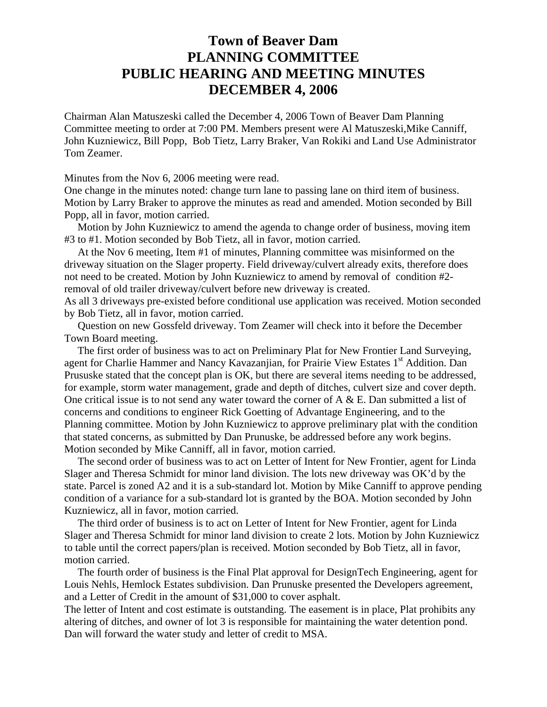# **Town of Beaver Dam PLANNING COMMITTEE PUBLIC HEARING AND MEETING MINUTES DECEMBER 4, 2006**

Chairman Alan Matuszeski called the December 4, 2006 Town of Beaver Dam Planning Committee meeting to order at 7:00 PM. Members present were Al Matuszeski,Mike Canniff, John Kuzniewicz, Bill Popp, Bob Tietz, Larry Braker, Van Rokiki and Land Use Administrator Tom Zeamer.

Minutes from the Nov 6, 2006 meeting were read.

One change in the minutes noted: change turn lane to passing lane on third item of business. Motion by Larry Braker to approve the minutes as read and amended. Motion seconded by Bill Popp, all in favor, motion carried.

 Motion by John Kuzniewicz to amend the agenda to change order of business, moving item #3 to #1. Motion seconded by Bob Tietz, all in favor, motion carried.

 At the Nov 6 meeting, Item #1 of minutes, Planning committee was misinformed on the driveway situation on the Slager property. Field driveway/culvert already exits, therefore does not need to be created. Motion by John Kuzniewicz to amend by removal of condition #2 removal of old trailer driveway/culvert before new driveway is created.

As all 3 driveways pre-existed before conditional use application was received. Motion seconded by Bob Tietz, all in favor, motion carried.

 Question on new Gossfeld driveway. Tom Zeamer will check into it before the December Town Board meeting.

 The first order of business was to act on Preliminary Plat for New Frontier Land Surveying, agent for Charlie Hammer and Nancy Kavazanjian, for Prairie View Estates 1<sup>st</sup> Addition. Dan Prususke stated that the concept plan is OK, but there are several items needing to be addressed, for example, storm water management, grade and depth of ditches, culvert size and cover depth. One critical issue is to not send any water toward the corner of  $A \& E$ . Dan submitted a list of concerns and conditions to engineer Rick Goetting of Advantage Engineering, and to the Planning committee. Motion by John Kuzniewicz to approve preliminary plat with the condition that stated concerns, as submitted by Dan Prunuske, be addressed before any work begins. Motion seconded by Mike Canniff, all in favor, motion carried.

 The second order of business was to act on Letter of Intent for New Frontier, agent for Linda Slager and Theresa Schmidt for minor land division. The lots new driveway was OK'd by the state. Parcel is zoned A2 and it is a sub-standard lot. Motion by Mike Canniff to approve pending condition of a variance for a sub-standard lot is granted by the BOA. Motion seconded by John Kuzniewicz, all in favor, motion carried.

 The third order of business is to act on Letter of Intent for New Frontier, agent for Linda Slager and Theresa Schmidt for minor land division to create 2 lots. Motion by John Kuzniewicz to table until the correct papers/plan is received. Motion seconded by Bob Tietz, all in favor, motion carried.

 The fourth order of business is the Final Plat approval for DesignTech Engineering, agent for Louis Nehls, Hemlock Estates subdivision. Dan Prunuske presented the Developers agreement, and a Letter of Credit in the amount of \$31,000 to cover asphalt.

The letter of Intent and cost estimate is outstanding. The easement is in place, Plat prohibits any altering of ditches, and owner of lot 3 is responsible for maintaining the water detention pond. Dan will forward the water study and letter of credit to MSA.